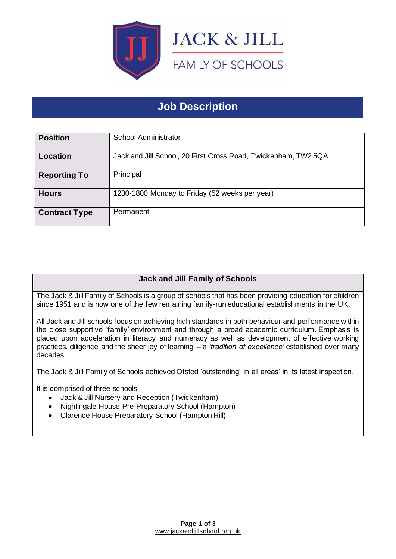

# **Job Description**

| <b>Position</b>      | School Administrator                                           |
|----------------------|----------------------------------------------------------------|
| Location             | Jack and Jill School, 20 First Cross Road, Twickenham, TW2 5QA |
| <b>Reporting To</b>  | Principal                                                      |
| <b>Hours</b>         | 1230-1800 Monday to Friday (52 weeks per year)                 |
| <b>Contract Type</b> | Permanent                                                      |

## **Jack and Jill Family of Schools**

The Jack & Jill Family of Schools is a group of schools that has been providing education for children since 1951 and is now one of the few remaining family-run educational establishments in the UK.

All Jack and Jill schools focus on achieving high standards in both behaviour and performance within the close supportive 'family' environment and through a broad academic curriculum. Emphasis is placed upon acceleration in literacy and numeracy as well as development of effective working practices, diligence and the sheer joy of learning – a *'tradition of excellence'* established over many decades.

The Jack & Jill Family of Schools achieved Ofsted 'outstanding' in all areas' in its latest inspection.

It is comprised of three schools:

- Jack & Jill Nursery and Reception (Twickenham)
- Nightingale House Pre-Preparatory School (Hampton)
- Clarence House Preparatory School (Hampton Hill)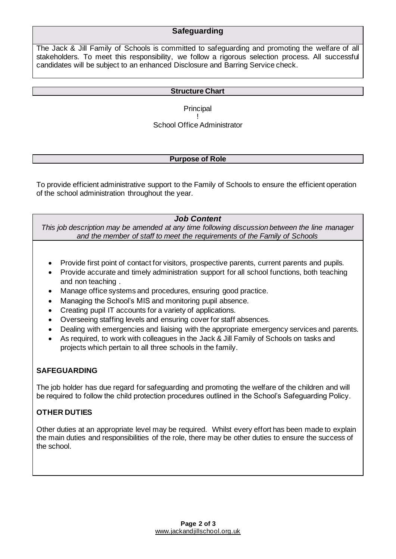### **Safeguarding**

The Jack & Jill Family of Schools is committed to safeguarding and promoting the welfare of all stakeholders. To meet this responsibility, we follow a rigorous selection process. All successful candidates will be subject to an enhanced Disclosure and Barring Service check.

#### **Structure Chart**

**Principal** ! School Office Administrator

#### **Purpose of Role**

To provide efficient administrative support to the Family of Schools to ensure the efficient operation of the school administration throughout the year.

#### *Job Content*

*This job description may be amended at any time following discussion between the line manager and the member of staff to meet the requirements of the Family of Schools*

- Provide first point of contact for visitors, prospective parents, current parents and pupils.
- Provide accurate and timely administration support for all school functions, both teaching and non teaching .
- Manage office systems and procedures, ensuring good practice.
- Managing the School's MIS and monitoring pupil absence.
- Creating pupil IT accounts for a variety of applications.
- Overseeing staffing levels and ensuring cover for staff absences.
- Dealing with emergencies and liaising with the appropriate emergency services and parents.
- As required, to work with colleagues in the Jack & Jill Family of Schools on tasks and projects which pertain to all three schools in the family.

#### **SAFEGUARDING**

The job holder has due regard for safeguarding and promoting the welfare of the children and will be required to follow the child protection procedures outlined in the School's Safeguarding Policy.

#### **OTHER DUTIES**

Other duties at an appropriate level may be required. Whilst every effort has been made to explain the main duties and responsibilities of the role, there may be other duties to ensure the success of the school.